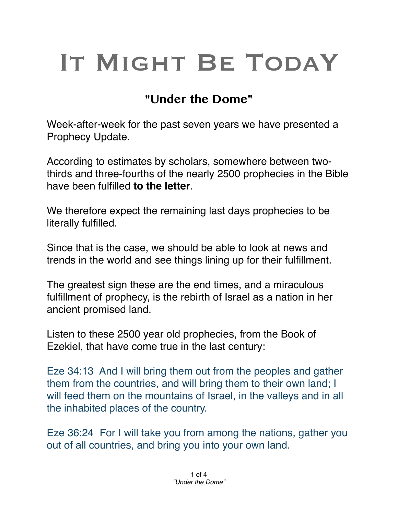## IT MIGHT BE TODAY

## **"Under the Dome"**

Week-after-week for the past seven years we have presented a Prophecy Update.

According to estimates by scholars, somewhere between twothirds and three-fourths of the nearly 2500 prophecies in the Bible have been fulfilled **to the letter**.

We therefore expect the remaining last days prophecies to be literally fulfilled.

Since that is the case, we should be able to look at news and trends in the world and see things lining up for their fulfillment.

The greatest sign these are the end times, and a miraculous fulfillment of prophecy, is the rebirth of Israel as a nation in her ancient promised land.

Listen to these 2500 year old prophecies, from the Book of Ezekiel, that have come true in the last century:

Eze 34:13 And I will bring them out from the peoples and gather them from the countries, and will bring them to their own land; I will feed them on the mountains of Israel, in the valleys and in all the inhabited places of the country.

Eze 36:24   For I will take you from among the nations, gather you out of all countries, and bring you into your own land.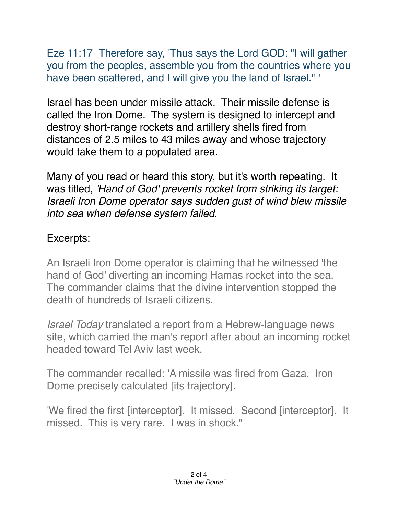Eze 11:17 Therefore say, 'Thus says the Lord GOD: "I will gather you from the peoples, assemble you from the countries where you have been scattered, and I will give you the land of Israel." '

Israel has been under missile attack. Their missile defense is called the Iron Dome. The system is designed to intercept and destroy short-range rockets and artillery shells fired from distances of 2.5 miles to 43 miles away and whose trajectory would take them to a populated area.

Many of you read or heard this story, but it's worth repeating. It was titled, *'Hand of God' prevents rocket from striking its target: Israeli Iron Dome operator says sudden gust of wind blew missile into sea when defense system failed.* 

## Excerpts:

An Israeli Iron Dome operator is claiming that he witnessed 'the hand of God' diverting an incoming Hamas rocket into the sea. The commander claims that the divine intervention stopped the death of hundreds of Israeli citizens.

*Israel Today* translated a report from a Hebrew-language news site, which carried the man's report after about an incoming rocket headed toward Tel Aviv last week.

The commander recalled: 'A missile was fired from Gaza. Iron Dome precisely calculated [its trajectory].

'We fired the first [interceptor]. It missed. Second [interceptor]. It missed. This is very rare. I was in shock."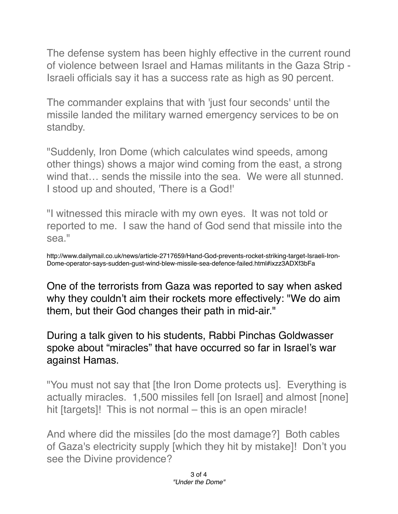The defense system has been highly effective in the current round of violence between Israel and Hamas militants in the Gaza Strip - Israeli officials say it has a success rate as high as 90 percent.

The commander explains that with 'just four seconds' until the missile landed the military warned emergency services to be on standby.

"Suddenly, Iron Dome (which calculates wind speeds, among other things) shows a major wind coming from the east, a strong wind that… sends the missile into the sea. We were all stunned. I stood up and shouted, 'There is a God!'

"I witnessed this miracle with my own eyes. It was not told or reported to me. I saw the hand of God send that missile into the sea."

http://www.dailymail.co.uk/news/article-2717659/Hand-God-prevents-rocket-striking-target-Israeli-Iron-Dome-operator-says-sudden-gust-wind-blew-missile-sea-defence-failed.html#ixzz3ADXf3bFa

One of the terrorists from Gaza was reported to say when asked why they couldn't aim their rockets more effectively: "We do aim them, but their God changes their path in mid-air."

During a talk given to his students, Rabbi Pinchas Goldwasser spoke about "miracles" that have occurred so far in Israel's war against Hamas.

"You must not say that [the Iron Dome protects us]. Everything is actually miracles. 1,500 missiles fell [on Israel] and almost [none] hit [targets]! This is not normal – this is an open miracle!

And where did the missiles [do the most damage?] Both cables of Gaza's electricity supply [which they hit by mistake]! Don't you see the Divine providence?